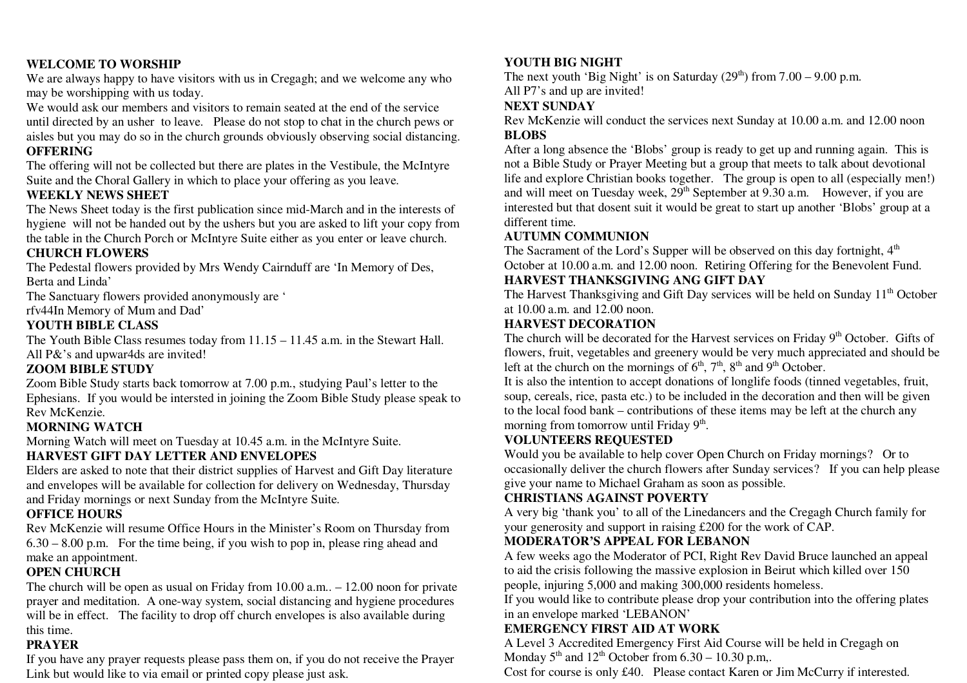#### **WELCOME TO WORSHIP**

 We are always happy to have visitors with us in Cregagh; and we welcome any who may be worshipping with us today.

We would ask our members and visitors to remain seated at the end of the service until directed by an usher to leave. Please do not stop to chat in the church pews or aisles but you may do so in the church grounds obviously observing social distancing. **OFFERING** 

 The offering will not be collected but there are plates in the Vestibule, the McIntyre Suite and the Choral Gallery in which to place your offering as you leave.

#### **WEEKLY NEWS SHEET**

 The News Sheet today is the first publication since mid-March and in the interests of hygiene will not be handed out by the ushers but you are asked to lift your copy from the table in the Church Porch or McIntyre Suite either as you enter or leave church.

#### **CHURCH FLOWERS**

 The Pedestal flowers provided by Mrs Wendy Cairnduff are 'In Memory of Des, Berta and Linda'

The Sanctuary flowers provided anonymously are '

rfv44In Memory of Mum and Dad'

#### **YOUTH BIBLE CLASS**

 The Youth Bible Class resumes today from 11.15 – 11.45 a.m. in the Stewart Hall. All P&'s and upwar4ds are invited!

#### **ZOOM BIBLE STUDY**

Zoom Bible Study starts back tomorrow at 7.00 p.m., studying Paul's letter to the Ephesians. If you would be intersted in joining the Zoom Bible Study please speak to Rev McKenzie.

#### **MORNING WATCH**

Morning Watch will meet on Tuesday at 10.45 a.m. in the McIntyre Suite.

## **HARVEST GIFT DAY LETTER AND ENVELOPES**

 Elders are asked to note that their district supplies of Harvest and Gift Day literature and envelopes will be available for collection for delivery on Wednesday, Thursday and Friday mornings or next Sunday from the McIntyre Suite.

#### **OFFICE HOURS**

 Rev McKenzie will resume Office Hours in the Minister's Room on Thursday from 6.30 – 8.00 p.m. For the time being, if you wish to pop in, please ring ahead and make an appointment.

#### **OPEN CHURCH**

 The church will be open as usual on Friday from 10.00 a.m.. – 12.00 noon for private prayer and meditation. A one-way system, social distancing and hygiene procedures will be in effect. The facility to drop off church envelopes is also available during this time.

#### **PRAYER**

 If you have any prayer requests please pass them on, if you do not receive the Prayer Link but would like to via email or printed copy please just ask.

#### **YOUTH BIG NIGHT**

The next youth 'Big Night' is on Saturday  $(29<sup>th</sup>)$  from  $7.00 - 9.00$  p.m. All P7's and up are invited!

#### **NEXT SUNDAY**

 Rev McKenzie will conduct the services next Sunday at 10.00 a.m. and 12.00 noon **BLOBS** 

 After a long absence the 'Blobs' group is ready to get up and running again. This is not a Bible Study or Prayer Meeting but a group that meets to talk about devotional life and explore Christian books together. The group is open to all (especially men!) and will meet on Tuesday week, 29<sup>th</sup> September at 9.30 a.m. However, if you are interested but that dosent suit it would be great to start up another 'Blobs' group at a different time.

#### **AUTUMN COMMUNION**

The Sacrament of the Lord's Supper will be observed on this day fortnight,  $4<sup>th</sup>$ October at 10.00 a.m. and 12.00 noon. Retiring Offering for the Benevolent Fund.

#### **HARVEST THANKSGIVING ANG GIFT DAY**

The Harvest Thanksgiving and Gift Day services will be held on Sunday  $11<sup>th</sup>$  October at 10.00 a.m. and 12.00 noon.

#### **HARVEST DECORATION**

The church will be decorated for the Harvest services on Friday 9<sup>th</sup> October. Gifts of flowers, fruit, vegetables and greenery would be very much appreciated and should be left at the church on the mornings of  $6<sup>th</sup>$ ,  $7<sup>th</sup>$ ,  $8<sup>th</sup>$  and  $9<sup>th</sup>$  October.

 It is also the intention to accept donations of longlife foods (tinned vegetables, fruit, soup, cereals, rice, pasta etc.) to be included in the decoration and then will be given to the local food bank – contributions of these items may be left at the church any morning from tomorrow until Friday  $9<sup>th</sup>$ .

#### **VOLUNTEERS REQUESTED**

 Would you be available to help cover Open Church on Friday mornings? Or to occasionally deliver the church flowers after Sunday services? If you can help please give your name to Michael Graham as soon as possible.

## **CHRISTIANS AGAINST POVERTY**

 A very big 'thank you' to all of the Linedancers and the Cregagh Church family for your generosity and support in raising £200 for the work of CAP.

## **MODERATOR'S APPEAL FOR LEBANON**

 A few weeks ago the Moderator of PCI, Right Rev David Bruce launched an appeal to aid the crisis following the massive explosion in Beirut which killed over 150 people, injuring 5,000 and making 300,000 residents homeless.

 If you would like to contribute please drop your contribution into the offering plates in an envelope marked 'LEBANON'

# **EMERGENCY FIRST AID AT WORK**

 A Level 3 Accredited Emergency First Aid Course will be held in Cregagh on Monday  $5<sup>th</sup>$  and  $12<sup>th</sup>$  October from 6.30 – 10.30 p.m,.

Cost for course is only £40. Please contact Karen or Jim McCurry if interested.